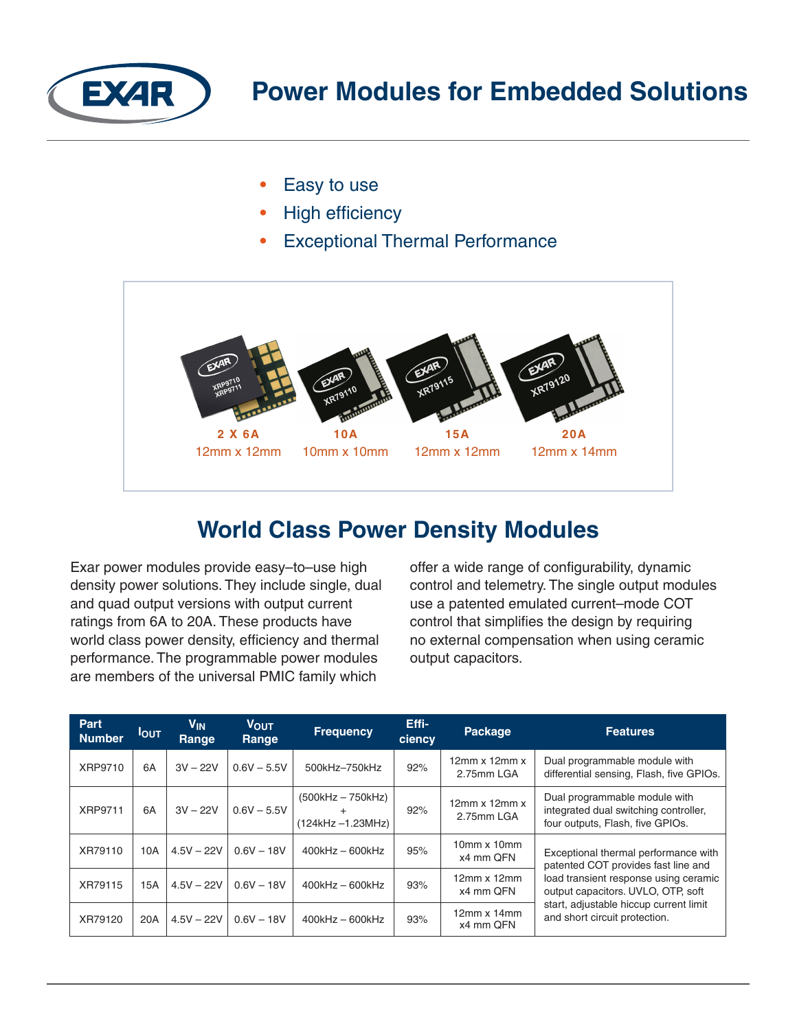

- Easy to use
- **High efficiency**
- **Exceptional Thermal Performance**



## **World Class Power Density Modules**

Exar power modules provide easy–to–use high density power solutions. They include single, dual and quad output versions with output current ratings from 6A to 20A. These products have world class power density, efficiency and thermal performance. The programmable power modules are members of the universal PMIC family which

offer a wide range of configurability, dynamic control and telemetry. The single output modules use a patented emulated current–mode COT control that simplifies the design by requiring no external compensation when using ceramic output capacitors.

| <b>Part</b><br><b>Number</b> | <b>IOUT</b> | V <sub>IN</sub><br>Range | <b>VOUT</b><br>Range | <b>Frequency</b>                            | Effi-<br>ciency | <b>Package</b>                          | <b>Features</b>                                                                                                                                                                                                                       |
|------------------------------|-------------|--------------------------|----------------------|---------------------------------------------|-----------------|-----------------------------------------|---------------------------------------------------------------------------------------------------------------------------------------------------------------------------------------------------------------------------------------|
| XRP9710                      | 6A          | $3V - 22V$               | $0.6V - 5.5V$        | 500kHz-750kHz                               | 92%             | $12mm \times 12mm \times$<br>2.75mm LGA | Dual programmable module with<br>differential sensing, Flash, five GPIOs.                                                                                                                                                             |
| <b>XRP9711</b>               | 6A          | $3V - 22V$               | $0.6V - 5.5V$        | $(500kHz - 750kHz)$<br>$(124kHz - 1.23MHz)$ | 92%             | $12mm \times 12mm \times$<br>2.75mm LGA | Dual programmable module with<br>integrated dual switching controller,<br>four outputs, Flash, five GPIOs.                                                                                                                            |
| XR79110                      | 10A         | $4.5V - 22V$             | $0.6V - 18V$         | $400$ kHz $-600$ kHz                        | 95%             | $10mm \times 10mm$<br>x4 mm QFN         | Exceptional thermal performance with<br>patented COT provides fast line and<br>load transient response using ceramic<br>output capacitors. UVLO, OTP, soft<br>start, adjustable hiccup current limit<br>and short circuit protection. |
| XR79115                      | 15A         | $4.5V - 22V$             | $0.6V - 18V$         | $400$ kHz $-600$ kHz                        | 93%             | $12mm \times 12mm$<br>x4 mm QFN         |                                                                                                                                                                                                                                       |
| XR79120                      | 20A         | $4.5V - 22V$             | $0.6V - 18V$         | $400$ kHz $-600$ kHz                        | 93%             | $12mm \times 14mm$<br>x4 mm QFN         |                                                                                                                                                                                                                                       |